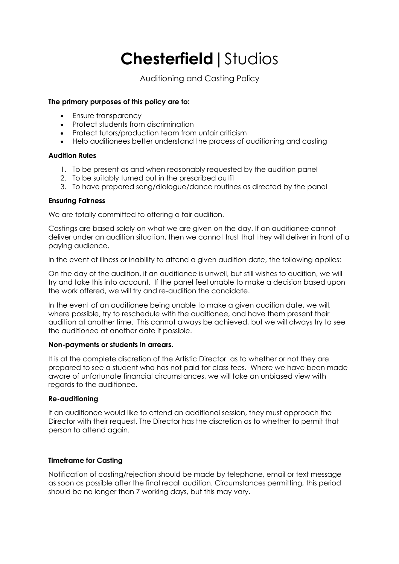# **Chesterfield**|Studios

Auditioning and Casting Policy

# **The primary purposes of this policy are to:**

- Ensure transparency
- Protect students from discrimination
- Protect tutors/production team from unfair criticism
- Help auditionees better understand the process of auditioning and casting

# **Audition Rules**

- 1. To be present as and when reasonably requested by the audition panel
- 2. To be suitably turned out in the prescribed outfit
- 3. To have prepared song/dialogue/dance routines as directed by the panel

# **Ensuring Fairness**

We are totally committed to offering a fair audition.

Castings are based solely on what we are given on the day. If an auditionee cannot deliver under an audition situation, then we cannot trust that they will deliver in front of a paying audience.

In the event of illness or inability to attend a given audition date, the following applies:

On the day of the audition, if an auditionee is unwell, but still wishes to audition, we will try and take this into account. If the panel feel unable to make a decision based upon the work offered, we will try and re-audition the candidate.

In the event of an auditionee being unable to make a given audition date, we will, where possible, try to reschedule with the auditionee, and have them present their audition at another time. This cannot always be achieved, but we will always try to see the auditionee at another date if possible.

## **Non-payments or students in arrears.**

It is at the complete discretion of the Artistic Director as to whether or not they are prepared to see a student who has not paid for class fees. Where we have been made aware of unfortunate financial circumstances, we will take an unbiased view with regards to the auditionee.

# **Re-auditioning**

If an auditionee would like to attend an additional session, they must approach the Director with their request. The Director has the discretion as to whether to permit that person to attend again.

# **Timeframe for Casting**

Notification of casting/rejection should be made by telephone, email or text message as soon as possible after the final recall audition. Circumstances permitting, this period should be no longer than 7 working days, but this may vary.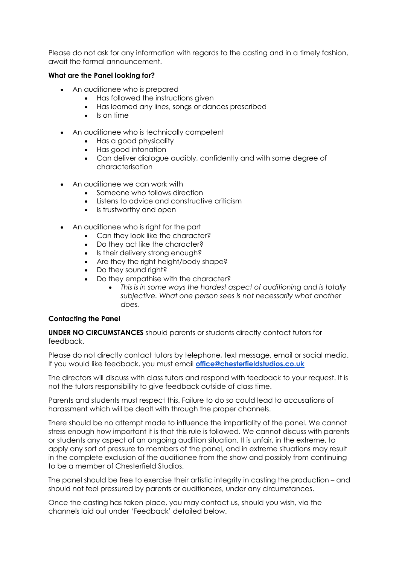Please do not ask for any information with regards to the casting and in a timely fashion, await the formal announcement.

### **What are the Panel looking for?**

- An auditionee who is prepared
	- Has followed the instructions given
	- Has learned any lines, songs or dances prescribed
	- Is on time
- An auditionee who is technically competent
	- Has a good physicality
	- Has good intonation
	- Can deliver dialogue audibly, confidently and with some degree of characterisation
- An auditionee we can work with
	- Someone who follows direction
	- Listens to advice and constructive criticism
	- Is trustworthy and open
- An auditionee who is right for the part
	- Can they look like the character?
	- Do they act like the character?
	- Is their delivery strong enough?
	- Are they the right height/body shape?
	- Do they sound right?
	- Do they empathise with the character?
		- *This is in some ways the hardest aspect of auditioning and is totally subjective. What one person sees is not necessarily what another does.*

#### **Contacting the Panel**

**UNDER NO CIRCUMSTANCES** should parents or students directly contact tutors for feedback.

Please do not directly contact tutors by telephone, text message, email or social media. If you would like feedback, you must email **office@chesterfieldstudios.co.uk**

The directors will discuss with class tutors and respond with feedback to your request. It is not the tutors responsibility to give feedback outside of class time.

Parents and students must respect this. Failure to do so could lead to accusations of harassment which will be dealt with through the proper channels.

There should be no attempt made to influence the impartiality of the panel. We cannot stress enough how important it is that this rule is followed. We cannot discuss with parents or students any aspect of an ongoing audition situation. It is unfair, in the extreme, to apply any sort of pressure to members of the panel, and in extreme situations may result in the complete exclusion of the auditionee from the show and possibly from continuing to be a member of Chesterfield Studios.

The panel should be free to exercise their artistic integrity in casting the production – and should not feel pressured by parents or auditionees, under any circumstances.

Once the casting has taken place, you may contact us, should you wish, via the channels laid out under 'Feedback' detailed below.